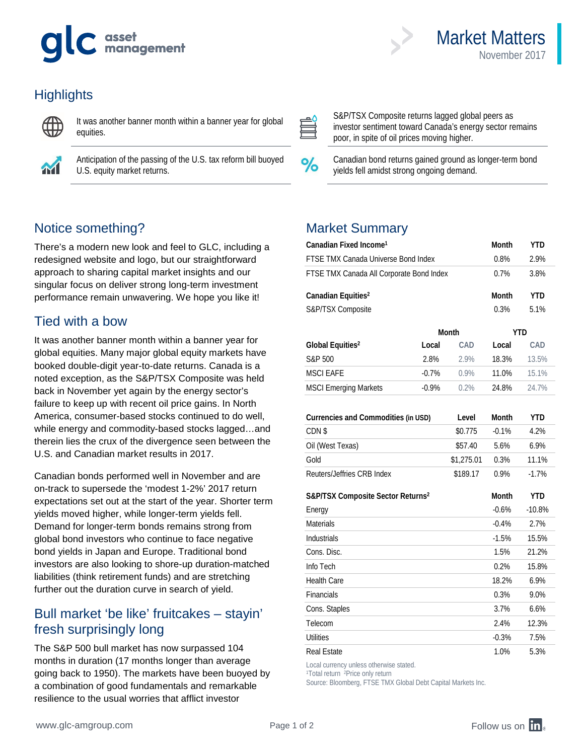# asset<br>management



It was another banner month within a banner year for global equities.



Anticipation of the passing of the U.S. tax reform bill buoyed U.S. equity market returns.

## Notice something?

There's a modern new look and feel to GLC, including a redesigned website and logo, but our straightforward approach to sharing capital market insights and our singular focus on deliver strong long-term investment performance remain unwavering. We hope you like it!

#### Tied with a bow

It was another banner month within a banner year for global equities. Many major global equity markets have booked double-digit year-to-date returns. Canada is a noted exception, as the S&P/TSX Composite was held back in November yet again by the energy sector's failure to keep up with recent oil price gains. In North America, consumer-based stocks continued to do well, while energy and commodity-based stocks lagged…and therein lies the crux of the divergence seen between the U.S. and Canadian market results in 2017.

Canadian bonds performed well in November and are on-track to supersede the 'modest 1-2%' 2017 return expectations set out at the start of the year. Shorter term yields moved higher, while longer-term yields fell. Demand for longer-term bonds remains strong from global bond investors who continue to face negative bond yields in Japan and Europe. Traditional bond investors are also looking to shore-up duration-matched liabilities (think retirement funds) and are stretching further out the duration curve in search of yield.

#### Bull market 'be like' fruitcakes – stayin' fresh surprisingly long

The S&P 500 bull market has now surpassed 104 months in duration (17 months longer than average going back to 1950). The markets have been buoyed by a combination of good fundamentals and remarkable resilience to the usual worries that afflict investor



S&P/TSX Composite returns lagged global peers as investor sentiment toward Canada's energy sector remains poor, in spite of oil prices moving higher.

Market Matters

November 2017

Canadian bond returns gained ground as longer-term bond yields fell amidst strong ongoing demand.

#### Market Summary

| Canadian Fixed Income <sup>1</sup>            | Month   | YTD          |              |            |
|-----------------------------------------------|---------|--------------|--------------|------------|
| FTSE TMX Canada Universe Bond Index           | 0.8%    | 2.9%         |              |            |
| FTSE TMX Canada All Corporate Bond Index      | 0.7%    | 3.8%         |              |            |
| Canadian Equities <sup>2</sup>                |         |              | <b>Month</b> | <b>YTD</b> |
| S&P/TSX Composite                             |         |              | 0.3%         | 5.1%       |
|                                               |         | <b>Month</b> | <b>YTD</b>   |            |
| Global Equities <sup>2</sup>                  | Local   | CAD          | Local        | CAD        |
| S&P 500                                       | 2.8%    | 2.9%         | 18.3%        | 13.5%      |
| <b>MSCI EAFE</b>                              | $-0.7%$ | $0.9\%$      | 11.0%        | 15.1%      |
| <b>MSCI Emerging Markets</b>                  | $-0.9%$ | 0.2%         | 24.8%        | 24.7%      |
|                                               |         |              |              |            |
| Currencies and Commodities (in USD)           | Level   | <b>Month</b> | <b>YTD</b>   |            |
| CDN \$                                        |         | \$0.775      | $-0.1%$      | 4.2%       |
| Oil (West Texas)                              |         | \$57.40      | 5.6%         | 6.9%       |
| Gold                                          |         | \$1,275.01   | 0.3%         | 11.1%      |
| Reuters/Jeffries CRB Index                    |         | \$189.17     | 0.9%         | $-1.7%$    |
| S&P/TSX Composite Sector Returns <sup>2</sup> | Month   | <b>YTD</b>   |              |            |
| Energy                                        |         |              | $-0.6%$      | $-10.8%$   |
| <b>Materials</b>                              |         |              | $-0.4%$      | 2.7%       |
| Industrials                                   |         |              | $-1.5%$      | 15.5%      |
| Cons. Disc.                                   |         |              | 1.5%         | 21.2%      |
| Info Tech                                     |         |              | 0.2%         | 15.8%      |
| <b>Health Care</b>                            |         |              | 18.2%        | 6.9%       |
| Financials                                    |         |              | 0.3%         | 9.0%       |
| Cons. Staples                                 |         |              | 3.7%         | 6.6%       |
| Telecom                                       |         |              | 2.4%         | 12.3%      |
| <b>Utilities</b>                              |         |              | $-0.3%$      | 7.5%       |
| <b>Real Estate</b>                            |         |              | 1.0%         | 5.3%       |

Local currency unless otherwise stated.

1Total return <sup>2</sup>Price only return

Source: Bloomberg, FTSE TMX Global Debt Capital Markets Inc.